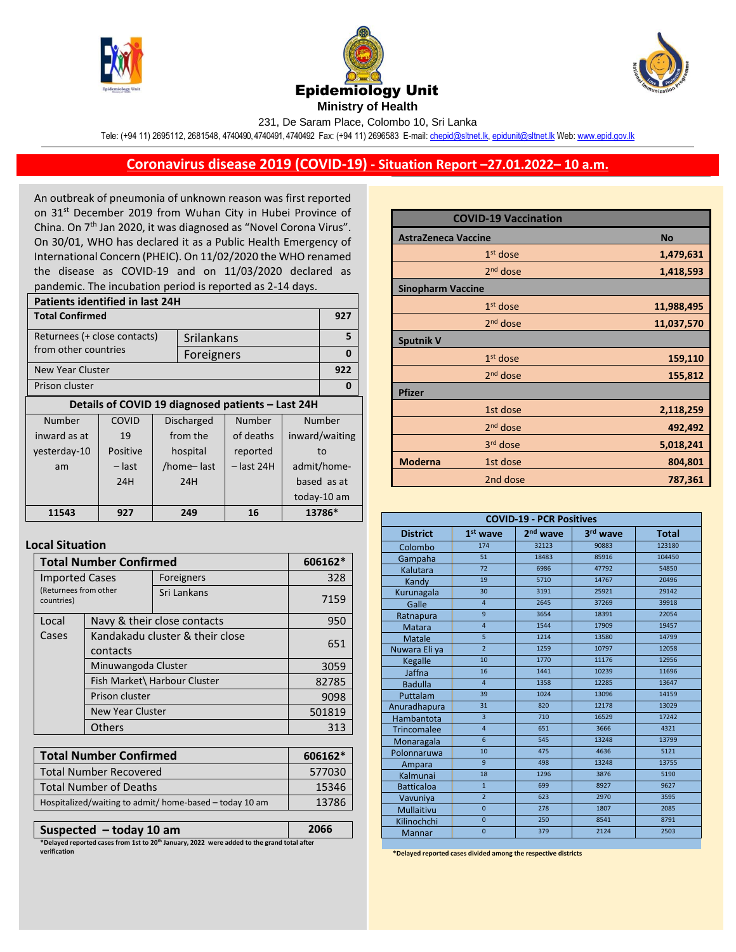





231, De Saram Place, Colombo 10, Sri Lanka

Tele: (+94 11) 2695112, 2681548, 4740490, 4740491, 4740492 Fax: (+94 11) 2696583 E-mail[: chepid@sltnet.lk,](mailto:chepi@sltnet.lk) [epidunit@sltnet.lk](mailto:epidunit@sltnet.lk) Web[: www.epid.gov.lk](http://www.epid.gov.lk/)

## **Coronavirus disease 2019 (COVID-19) - Situation Report –27.01.2022– 10 a.m.**

An outbreak of pneumonia of unknown reason was first reported on 31<sup>st</sup> December 2019 from Wuhan City in Hubei Province of China. On 7<sup>th</sup> Jan 2020, it was diagnosed as "Novel Corona Virus". On 30/01, WHO has declared it as a Public Health Emergency of International Concern (PHEIC). On 11/02/2020 the WHO renamed the disease as COVID-19 and on 11/03/2020 declared as pandemic. The incubation period is reported as 2-14 days.

| <b>Patients identified in last 24H</b>            |          |            |                   |              |                |  |
|---------------------------------------------------|----------|------------|-------------------|--------------|----------------|--|
| <b>Total Confirmed</b>                            |          |            |                   |              | 927            |  |
| Returnees (+ close contacts)<br>Srilankans        |          |            |                   |              | 5              |  |
| from other countries                              |          | Foreigners |                   |              | $\bf{0}$       |  |
| New Year Cluster                                  |          |            |                   |              | 922            |  |
| Prison cluster                                    |          |            |                   |              | 0              |  |
| Details of COVID 19 diagnosed patients - Last 24H |          |            |                   |              |                |  |
| Number                                            | COVID    |            | <b>Discharged</b> | Number       | Number         |  |
| inward as at                                      | 19       |            | from the          | of deaths    | inward/waiting |  |
| yesterday-10                                      | Positive |            | hospital          | reported     | to             |  |
| am                                                | – last   |            | /home-last        | $-$ last 24H | admit/home-    |  |
|                                                   | 24H      |            | 24H               |              | based as at    |  |
|                                                   |          |            |                   |              | today-10 am    |  |
| 11543                                             | 927      | 16<br>249  |                   | 13786*       |                |  |
|                                                   |          |            |                   |              |                |  |

## **Local Situation**

| <b>Total Number Confirmed</b>       | 606162*             |                                 |         |  |
|-------------------------------------|---------------------|---------------------------------|---------|--|
| <b>Imported Cases</b>               |                     | Foreigners                      | 328     |  |
| (Returnees from other<br>countries) |                     | Sri Lankans                     | 7159    |  |
| Local                               |                     | Navy & their close contacts     |         |  |
| Cases                               |                     | Kandakadu cluster & their close |         |  |
|                                     | contacts            |                                 | 651     |  |
|                                     | Minuwangoda Cluster |                                 | 3059    |  |
|                                     |                     | Fish Market\ Harbour Cluster    | 82785   |  |
| Prison cluster                      |                     |                                 | 9098    |  |
| <b>New Year Cluster</b>             |                     |                                 | 501819  |  |
|                                     | Others              |                                 | 313     |  |
|                                     |                     |                                 |         |  |
| <b>Total Number Confirmed</b>       |                     |                                 | 606162* |  |
| <b>Total Number Recovered</b>       |                     |                                 | 577030  |  |
| <b>Total Number of Deaths</b>       |                     |                                 | 15346   |  |

| Hospitalized/waiting to admit/ home-based – today 10 am                                              | 13786 |  |  |
|------------------------------------------------------------------------------------------------------|-------|--|--|
|                                                                                                      |       |  |  |
| Suspected $-$ today 10 am                                                                            | 2066  |  |  |
| *Delayed uses that a from 1st to 20 <sup>th</sup> January 2022, were added to the ground total often |       |  |  |

**\*Delayed reported cases from 1st to 20th January, 2022 were added to the grand total after verification**

|                            | <b>COVID-19 Vaccination</b> |            |
|----------------------------|-----------------------------|------------|
| <b>AstraZeneca Vaccine</b> | <b>No</b>                   |            |
|                            | $1st$ dose                  | 1,479,631  |
|                            | 2 <sup>nd</sup> dose        | 1,418,593  |
| <b>Sinopharm Vaccine</b>   |                             |            |
|                            | $1st$ dose                  | 11,988,495 |
|                            | 2 <sup>nd</sup> dose        | 11,037,570 |
| <b>Sputnik V</b>           |                             |            |
|                            | 1 <sup>st</sup> dose        | 159,110    |
|                            | 2 <sup>nd</sup> dose        | 155,812    |
| <b>Pfizer</b>              |                             |            |
|                            | 1st dose                    | 2,118,259  |
|                            | 2 <sup>nd</sup> dose        | 492,492    |
|                            | 3 <sup>rd</sup> dose        | 5,018,241  |
| <b>Moderna</b>             | 1st dose                    | 804,801    |
|                            | 2nd dose                    | 787,361    |

| <b>COVID-19 - PCR Positives</b> |                 |                      |          |              |  |
|---------------------------------|-----------------|----------------------|----------|--------------|--|
| <b>District</b>                 | $1st$ wave      | 2 <sup>nd</sup> wave | 3rd wave | <b>Total</b> |  |
| Colombo                         | 174             | 32123                | 90883    | 123180       |  |
| Gampaha                         | 51              | 18483                | 85916    | 104450       |  |
| Kalutara                        | 72              | 6986                 | 47792    | 54850        |  |
| Kandy                           | 19              | 5710                 | 14767    | 20496        |  |
| Kurunagala                      | 30              | 3191                 | 25921    | 29142        |  |
| Galle                           | $\overline{4}$  | 2645                 | 37269    | 39918        |  |
| Ratnapura                       | $\overline{9}$  | 3654                 | 18391    | 22054        |  |
| <b>Matara</b>                   | $\overline{4}$  | 1544                 | 17909    | 19457        |  |
| Matale                          | $\overline{5}$  | 1214                 | 13580    | 14799        |  |
| Nuwara Eliya                    | $\overline{2}$  | 1259                 | 10797    | 12058        |  |
| Kegalle                         | 10              | 1770                 | 11176    | 12956        |  |
| Jaffna                          | 16              | 1441                 | 10239    | 11696        |  |
| <b>Badulla</b>                  | $\overline{a}$  | 1358                 | 12285    | 13647        |  |
| Puttalam                        | 39              | 1024                 | 13096    | 14159        |  |
| Anuradhapura                    | 31              | 820                  | 12178    | 13029        |  |
| Hambantota                      | $\overline{3}$  | 710                  | 16529    | 17242        |  |
| <b>Trincomalee</b>              | $\overline{4}$  | 651                  | 3666     | 4321         |  |
| Monaragala                      | $6\overline{6}$ | 545                  | 13248    | 13799        |  |
| Polonnaruwa                     | 10              | 475                  | 4636     | 5121         |  |
| Ampara                          | 9               | 498                  | 13248    | 13755        |  |
| Kalmunai                        | 18              | 1296                 | 3876     | 5190         |  |
| <b>Batticaloa</b>               | $\overline{1}$  | 699                  | 8927     | 9627         |  |
| Vavuniya                        | $\overline{2}$  | 623                  | 2970     | 3595         |  |
| Mullaitivu                      | $\mathbf{0}$    | 278                  | 1807     | 2085         |  |
| Kilinochchi                     | $\overline{0}$  | 250                  | 8541     | 8791         |  |
| Mannar                          | $\overline{0}$  | 379                  | 2124     | 2503         |  |

 **\*Delayed reported cases divided among the respective districts**